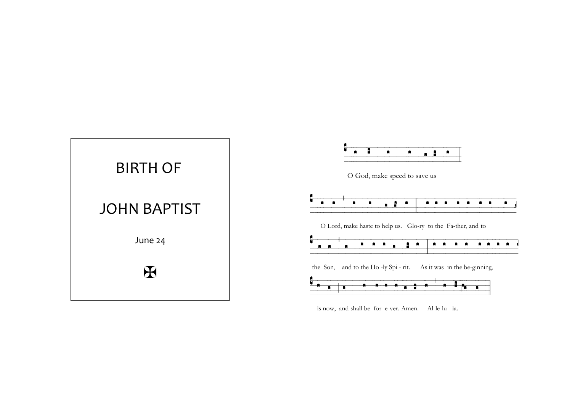

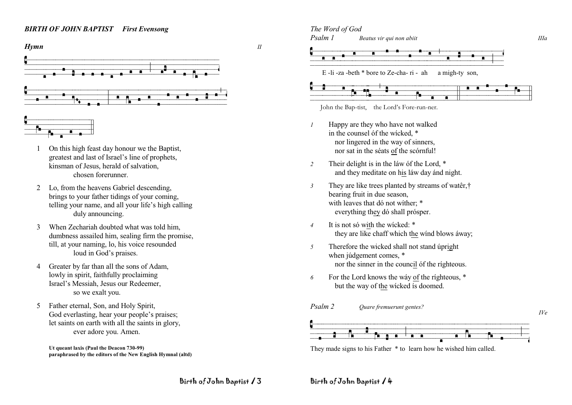## *BIRTH OF JOHN BAPTIST First Evensong*



- 1 On this high feast day honour we the Baptist, greatest and last of Israel's line of prophets, kinsman of Jesus, herald of salvation, chosen forerunner.
- 2 Lo, from the heavens Gabriel descending, brings to your father tidings of your coming, telling your name, and all your life's high calling duly announcing.
- 3 When Zechariah doubted what was told him, dumbness assailed him, sealing firm the promise, till, at your naming, lo, his voice resounded loud in God's praises.
- 4 Greater by far than all the sons of Adam, lowly in spirit, faithfully proclaiming Israel's Messiah, Jesus our Redeemer, so we exalt you.
- 5 Father eternal, Son, and Holy Spirit, God everlasting, hear your people's praises; let saints on earth with all the saints in glory, ever adore you. Amen.

**Ut queant laxis (Paul the Deacon 730-99) paraphrased by the editors of the New English Hymnal (altd)**

# *The Word of God*





Bachuch is a straight of the Bap-tist, the Lord's Fore-run-ner.



- *1* Happy are they who have not walked in the counsel óf the wicked  $*$ nor lingered in the way of sinners, nor sat in the séats of the scórnful!
- *2* Their delight is in the láw óf the Lord, \* and they meditate on his láw day ánd night.
- *3* They are like trees planted by streams of watêr,† bearing fruit in due season, with leaves that dó not wither;  $*$ everything they dó shall prósper.
- *4* It is not só with the wícked: \* they are like chaff which the wínd blows áway;
- *5* Therefore the wicked shall not stand úpright when júdgement comes, \* nor the sinner in the council óf the ríghteous.
- *6* For the Lord knows the wáy of the ríghteous, \* but the way of the wícked ís doomed.
- *Psalm 2 Quare fremuerunt gentes? IVe* BvzbszcvbtÍdvalovách vzdvalovách vzdvalovách vzdvalovách vzdvalovách vzdvalovách vzdvalovách vzdvalovách vzdvalovách<br>Do námet v české vyzdvalovách vzdvalovách v vyzdvalovách v vyzdvalovách v vyzdvalovách vyzdvalovách v vyz

They made signs to his Father \* to learn how he wished him called.

Birth of John Baptist / 3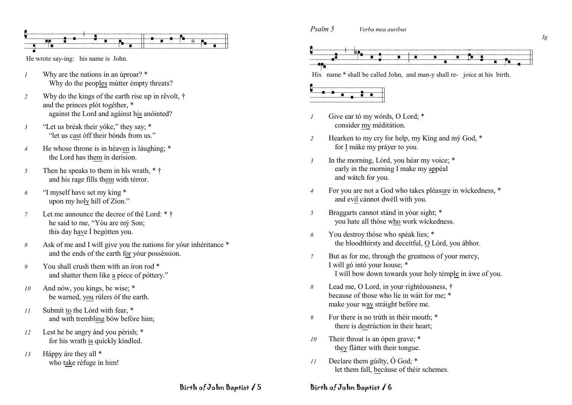

He wrote say-ing: his name is John.

- Why are the nations in an uproar? \*  $\overline{I}$ Why do the peoples mutter empty threats?
- Why do the kings of the earth rise up in rêvolt, †  $\overline{2}$ and the princes plót togéther, \* against the Lord and against his anointed?
- "Let us bréak their yóke," they say; \*  $\mathfrak{Z}$ "let us cast off their bonds from us."
- He whose throne is in héaven is láughing; \*  $\overline{4}$ the Lord has them in derision.
- Then he speaks to them in his wrath. \* †  $\sqrt{2}$ and his rage fills them with térror.
- "I myself have set my king \* 6 upon my holy hill of Zion."
- Let me announce the decree of the Lord: \* †  $\overline{7}$ he said to me, "You are my Son; this day have I begótten you.
- Ask of me and I will give you the nations for your inheritance \* 8 and the ends of the earth for your possession.
- You shall crush them with an iron rod \* 9 and shatter them like a piece of pottery."
- And nów, you kings, be wise: \*  $10$ be warned, you rúlers óf the earth.
- Submit to the Lórd with fear, \*  $11$ and with trembling bów befóre him;
- Lest he be angry ánd you pérish: \*  $12$ for his wrath is quickly kindled.
- Háppy áre they all \*  $13$ who take réfuge in him!



His name \* shall be called John, and man-y shall re-joice at his birth.



Psalm 5

- Give ear tó my wórds, O Lord: \*  $\overline{1}$ consider my méditátion.
- Hearken to my cry for help, my King and my God, \*  $\overline{2}$ for I máke my práver to you.
- In the morning, Lórd, you héar my voice; \*  $\overline{3}$ early in the morning I make my appéal and wátch for you.

Verba mea auribus

- For you are not a God who takes pléasure in wickedness, \*  $\overline{4}$ and evil cánnot dwéll with you.
- Braggarts cannot stánd in your sight; \*  $\overline{5}$ you hate all thóse who work wickedness.
- You destroy thóse who spéak lies: \*  $\overline{6}$ the bloodthirsty and deceitful, O Lórd, you ábhor.
- But as for me, through the greatness of your mercy,  $\overline{7}$ I will gó intó your house; \* I will bow down towards your holy témple in awe of you.
- Lead me, O Lord, in your righteousness, †  $\mathcal{S}_{\mathcal{S}}$ because of those who lie in wait for me: \* make your way stráight befóre me.
- For there is no trúth in théir mouth: \*  $\overline{Q}$ there is destrúction in their heart;
- Their throat is an ópen grave; \*  $10<sup>2</sup>$ they flátter with their tongue.
- Declare them guilty,  $\acute{O}$  God:  $*$  $11$ let them fall, because of their schemes.

Birth of John Baptist / 5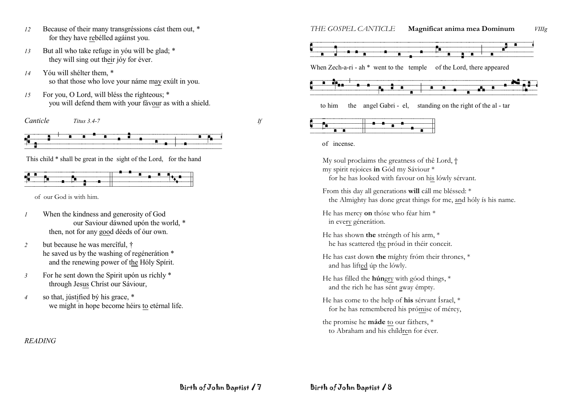- Because of their many transgréssions cást them out, \*  $12$ for they have rebelled against you.
- But all who take refuge in you will be glad; \*  $13$ they will sing out their jóy for éver.
- Yóu will shélter them. \*  $14$ so that those who love your náme may exult in you.
- For you, O Lord, will bléss the righteous; \*  $15$ you will defend them with your favour as with a shield.

Canticle Titus 3.4-7







This child \* shall be great in the sight of the Lord, for the hand



of our God is with him.

- When the kindness and generosity of God  $\boldsymbol{l}$ our Saviour dáwned upón the world, \* then, not for any good déeds of óur own.
- but because he was mercîful, †  $\overline{2}$ he saved us by the washing of regénerátion \* and the renewing power of the Hóly Spírit.
- For he sent down the Spirit upón us ríchly \*  $\mathfrak{Z}$ through Jesus Christ our Sáviour,
- so that, jústified by his grace, \*  $\overline{4}$ we might in hope become héirs to etérnal life.

**READING** 

Magnificat anima mea Dominum THE GOSPEL CANTICLE *VIIIg* 



When Zech-a-ri - ah \* went to the temple of the Lord, there appeared



to him the angel Gabri - el, standing on the right of the al - tar

of incense.

My soul proclaims the greatness of the Lord,  $\dagger$ my spirit rejoices in Gód my Sáviour \* for he has looked with favour on his lówly sérvant.

From this day all generations will cáll me bléssed: \* the Almighty has done great things for me, and hóly is his name.

He has mercy on thóse who féar him \* in every génerátion.

He has shown the stréngth of hís arm, \* he has scattered the proud in their conceit.

He has cast down the mighty from their thrones, \* and has lifted up the lowly.

He has filled the húngry with góod things, \* and the rich he has sént away émpty.

He has come to the help of his sérvant Ísrael, \* for he has remembered his prómise of mércy,

the promise he máde to our fáthers, \* to Abraham and his children for éver.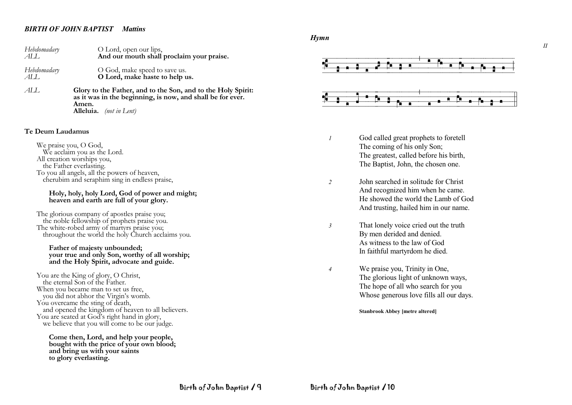## *BIRTH OF JOHN BAPTIST Mattins*

| Hebdomadary | O Lord, open our lips,                    |
|-------------|-------------------------------------------|
| AL L        | And our mouth shall proclaim your praise. |
| Hebdomadary | O God, make speed to save us.             |
| ALL.        | O Lord, make haste to help us.            |

*ALL* **Glory to the Father, and to the Son, and to the Holy Spirit: as it was in the beginning, is now, and shall be for ever. Amen. Alleluia.** *(not in Lent)*

#### **Te Deum Laudamus**

We praise you, O God, We acclaim you as the Lord. All creation worships you, the Father everlasting. To you all angels, all the powers of heaven, cherubim and seraphim sing in endless praise,

#### **Holy, holy, holy Lord, God of power and might; heaven and earth are full of your glory.**

The glorious company of apostles praise you; the noble fellowship of prophets praise you. The white-robed army of martyrs praise you; throughout the world the holy Church acclaims you.

#### **Father of majesty unbounded; your true and only Son, worthy of all worship; and the Holy Spirit, advocate and guide.**

You are the King of glory, O Christ, the eternal Son of the Father. When you became man to set us free, you did not abhor the Virgin's womb. You overcame the sting of death, and opened the kingdom of heaven to all believers. You are seated at God's right hand in glory, we believe that you will come to be our judge.

**Come then, Lord, and help your people, bought with the price of your own blood; and bring us with your saints to glory everlasting.**

*Hymn*



- *1* God called great prophets to foretell The coming of his only Son; The greatest, called before his birth, The Baptist, John, the chosen one.
- *2* John searched in solitude for Christ And recognized him when he came. He showed the world the Lamb of God And trusting, hailed him in our name.
- *3* That lonely voice cried out the truth By men derided and denied. As witness to the law of God In faithful martyrdom he died.
- *4* We praise you, Trinity in One, The glorious light of unknown ways, The hope of all who search for you Whose generous love fills all our days.

**Stanbrook Abbey [metre altered]**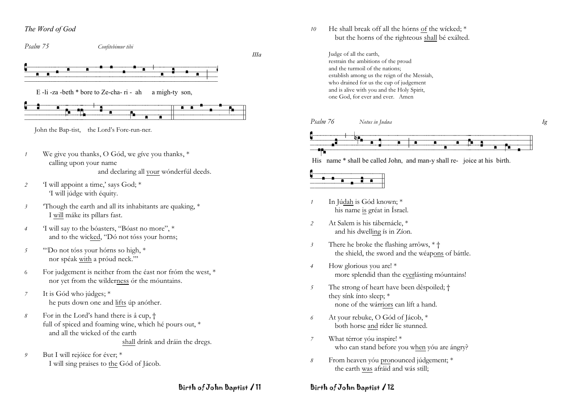## The Word of God

Psalm 75 Confitebimur tibi

 $IIIa$ 



E-li-za-beth \* bore to Ze-cha-ri-ah a migh-ty son.



John the Bap-tist, the Lord's Fore-run-ner.

- We give you thanks, O Gód, we give you thanks, \*  $\overline{1}$ calling upon your name and declaring all your wonderful deeds.
- 'I will appoint a time,' says God; \* 2 I will júdge with équity.
- Though the earth and all its inhabitants are quaking, \*  $\overline{\mathbf{3}}$ I will máke its píllars fast.
- 'I will say to the bóasters, "Bóast no more", \*  $\overline{4}$ and to the wicked, "Dó not tóss your horns;
- "Do not tóss your hórns so high, \*  $\overline{5}$ nor spéak with a próud neck."
- For judgement is neither from the éast nor fróm the west, \* 6 nor yet from the wilderness ór the móuntains.
- It is Gód who júdges; \*  $\boldsymbol{7}$ he puts down one and lifts úp anóther.
- For in the Lord's hand there is â cup,  $\dagger$  $\mathcal{S}_{\mathcal{S}}$ full of spiced and foaming wine, which hé pours out, \* and all the wicked of the earth shall drínk and dráin the dregs.
- But I will rejóice for éver; \*  $\mathfrak{g}$ I will sing praises to the Gód of Jácob.

He shall break off all the hórns of the wicked; \* 10 but the horns of the righteous shall bé exálted.

> Judge of all the earth, restrain the ambitions of the proud and the turmoil of the nations: establish among us the reign of the Messiah, who drained for us the cup of judgement and is alive with you and the Holy Spirit, one God, for ever and ever. Amen



His name \* shall be called John, and man-y shall re-joice at his birth.



- In Júdah is Gód known; \* his name is gréat in Ísrael.
- At Salem is his tábernácle, \*  $\overline{2}$ and his dwelling is in Zion.
- There he broke the flashing arrôws, \* +  $\mathfrak{Z}$ the shield, the sword and the wéapons of báttle.
- How glorious you are! \*  $\overline{4}$ more splendid than the everlásting móuntains!
- The strong of heart have been dêspoiled; †  $\overline{5}$ they sink into sleep; \* none of the wárriors can líft a hand.
- At your rebuke, O Gód of Jácob, \* 6 both horse and ríder líe stunned.
- What térror vóu inspire! \*  $\overline{7}$ who can stand before you when you are angry?
- From heaven yóu pronounced júdgement; \* 8 the earth was afráid and wás still;

## Birth of John Baptist / 11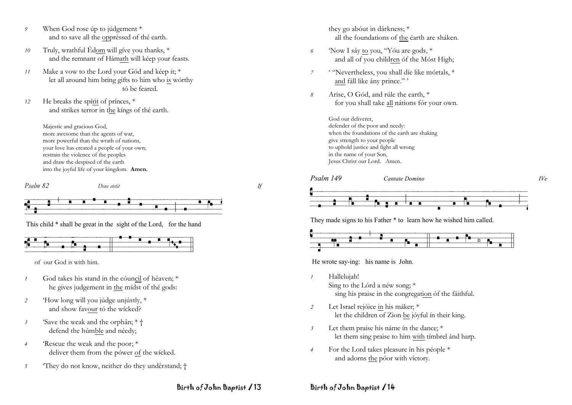- *9* When God rose úp to júdgement \* and to save all the oppréssed of thé earth.
- *10* Truly, wrathful Édom will gíve you thanks, \* and the remnant of Hámath will kéep your feasts.
- *11* Make a vow to the Lord your Gód and kéep it; \* let all around him bring gifts to him who is wórthy tó be feared.
- *12* He breaks the spírit of prínces, \* and strikes terror in the kíngs of thé earth.

Majestic and gracious God, more awesome than the agents of war, more powerful than the wrath of nations, your love has created a people of your own; restrain the violence of the peoples and draw the despised of the earth into the joyful life of your kingdom. **Amen.**

*Psalm 82 Deus stetit If*





This child \* shall be great in the sight of the Lord, for the hand



of our God is with him.

- *1* God takes his stand in the cóuncil of héaven; \* he gives judgement in the mídst of thé gods:
- *2* 'How long will you júdge unjústly, \* and show favour tó the wícked?
- *3* 'Save the weak and the orphân; \* † defend the húmble and néedy;
- *4* 'Rescue the weak and the poor; \* deliver them from the pówer of the wícked.
- *5* 'They do not know, neither do they undêrstand; †

they go abóut in dárkness; \* all the foundations of the éarth are sháken.

- *6* 'Now I sáy to you, "Yóu are gods, \* and all of you children óf the Móst High;
- *7* ' "Nevertheless, you shall díe like mórtals, \* and fáll like ány prince." '
- *8* Arise, O Gód, and rúle the earth, \* for you shall take all nátions fór your own.

God our deliverer, defender of the poor and needy: when the foundations of the earth are shaking give strength to your people to uphold justice and fight all wrong in the name of your Son, Jesus Christ our Lord. Amen.



They made signs to his Father \* to learn how he wished him called.



He wrote say-ing: his name is John.

- *1* Hallelujah! Sing to the Lórd a néw song; \* sing his praise in the congregation óf the fáithful.
- *2* Let Israel rejóice in his máker; \* let the children of Zion be jóyful ín their king.
- *3* Let them praise his náme ín the dance; \* let them sing praise to him with tímbrel ánd harp.
- *4* For the Lord takes pleasure ín his péople \* and adorns the póor with víctory.

Birth of John Baptist / 13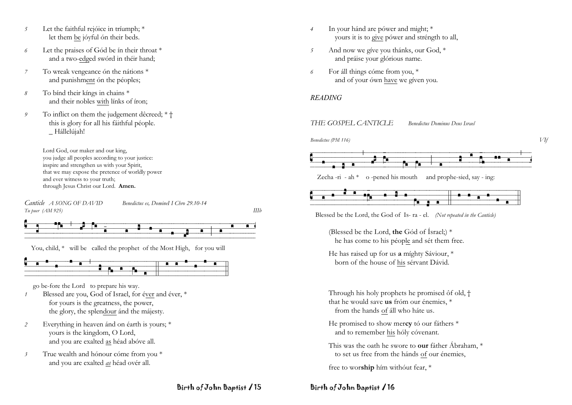- Let the faithful rejóice in tríumph; \*  $\mathcal{F}_{\mathcal{D}}$ let them be jóyful ón their beds.
- Let the praises of Gód be in their throat \* 6 and a two-edged swórd in théir hand;
- To wreak vengeance ón the nátions \*  $\overline{7}$ and punishment ón the péoples;
- To bind their kings in chains \* 8 and their nobles with línks of íron;
- To inflict on them the judgement dêcreed; \* + 9 this is glory for all his fáithful péople. Hállelújah!

Lord God, our maker and our king. you judge all peoples according to your justice: inspire and strengthen us with your Spirit. that we may expose the pretence of worldly power and ever witness to your truth; through Jesus Christ our Lord. Amen.

Canticle A SONG OF DAVID Benedictus es, DomineI I Chro 29.10-14 Tu puer  $(AM 925)$ 

 $IIIb$ 



You, child, \* will be called the prophet of the Most High, for you will



go be-fore the Lord to prepare his way.

- Blessed are vou. God of Israel, for éver and éver. \*  $\mathcal{I}$ for yours is the greatness, the power, the glory, the splendour and the majesty.
- Everything in heaven ánd on éarth is yours; \*  $\overline{2}$ yours is the kingdom, O Lord, and you are exalted as héad abóve all.
- True wealth and hónour cóme from you \*  $\mathfrak{Z}$ and you are exalted as héad ovér all.
- In your hánd are pówer and might; \*  $\overline{4}$ yours it is to give power and strength to all,
- 5 And now we give you thánks, our God, \* and práise your glórious name.
- For all things come from you, \* 6 and of your ówn have we given you.

## **READING**

#### THE GOSPEL CANTICLE **Benedictus Dominus Deus Israel**





Zecha-ri - ah  $*$  o-pened his mouth and prophe-sied, say - ing:

Blessed be the Lord, the God of Is-ra-el. (Not repeated in the Canticle)

- (Blessed be the Lord, the Gód of Ísrael;) \* he has come to his péople and sét them free.
- He has raised up for us a míghty Sáviour, \* born of the house of his sérvant Dávid.

Through his holy prophets he promised ôf old, † that he would save us from our énemies. \* from the hands of áll who háte us.

- He promised to show mercy tó our fáthers \* and to remember his hóly cóvenant.
- This was the oath he swore to **our** father Abraham, \* to set us free from the hánds of our énemies.

free to worship him without fear, \*

## Dirth of John Baptist / 16

Birth of John Baptist / 15

 $V$ If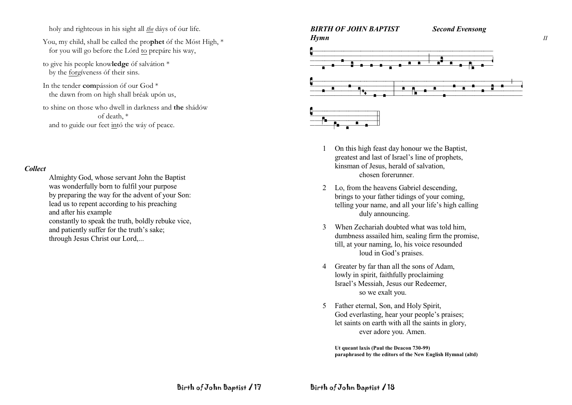holy and righteous in his sight all the dáys of óur life.

- You, my child, shall be called the prophet of the Most High, \* for you will go before the Lórd to prepáre his way,
- to give his people knowledge óf salvátion \* by the forgiveness of their sins.
- In the tender compássion óf our God<sup>\*</sup> the dawn from on high shall bréak upón us,
- to shine on those who dwell in darkness and the shádów of death \* and to guide our feet intó the wáy of peace.

## **Collect**

Almighty God, whose servant John the Baptist was wonderfully born to fulfil your purpose by preparing the way for the advent of your Son: lead us to repent according to his preaching and after his example constantly to speak the truth, boldly rebuke vice, and patiently suffer for the truth's sake; through Jesus Christ our Lord,...



- On this high feast day honour we the Baptist, greatest and last of Israel's line of prophets, kinsman of Jesus, herald of salvation. chosen forerunner
- 2 Lo, from the heavens Gabriel descending, brings to your father tidings of your coming, telling your name, and all your life's high calling duly announcing.
- When Zechariah doubted what was told him.  $\mathcal{Z}$ dumbness assailed him, sealing firm the promise, till, at your naming, lo, his voice resounded loud in God's praises.
- Greater by far than all the sons of Adam,  $\overline{4}$ lowly in spirit, faithfully proclaiming Israel's Messiah, Jesus our Redeemer, so we exalt you.
- 5 Father eternal, Son, and Holy Spirit, God everlasting, hear your people's praises; let saints on earth with all the saints in glory. ever adore you. Amen.

Ut queant laxis (Paul the Deacon 730-99) paraphrased by the editors of the New English Hymnal (altd)  $II$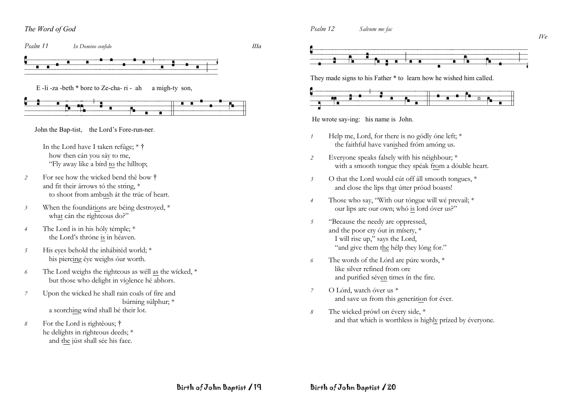The Word of God







They made signs to his Father \* to learn how he wished him called.



He wrote say-ing: his name is John.

- Help me, Lord, for there is no gódly óne left: \*  $\overline{1}$ the faithful have vanished fróm amóng us.
- Everyone speaks falsely with his néighbour; \*  $\overline{2}$ with a smooth tongue they spéak from a dóuble heart.
- O that the Lord would cút off áll smooth tongues. \*  $\overline{\mathbf{3}}$ and close the lips that útter próud boasts!
- Those who say, "With our tóngue will wé prevail; \*  $\overline{4}$ our lips are our own; whó is lord óver us?"
- "Because the needy are oppressed,  $\overline{5}$ and the poor cry out in misery, \* I will rise up," says the Lord, "and give them the hélp they lóng for."
- The words of the Lórd are púre words, \* 6 like silver refined from ore and purified séven times ín the fire.
- O Lórd, watch óver us \*  $\overline{7}$ and save us from this generátion for éver.
- The wicked prówl on évery side, \* 8 and that which is worthless is highly prized by éveryone.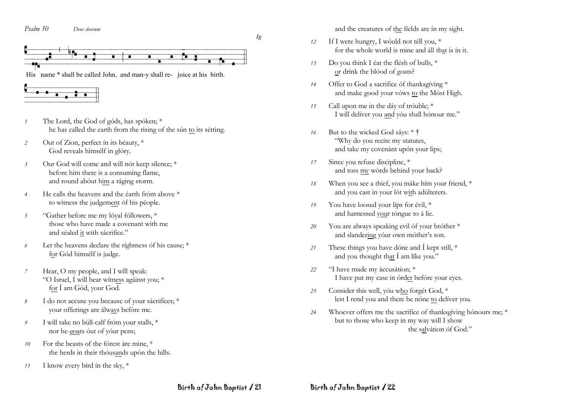Psalm 50 Deus deorum



- The Lord, the God of góds, has spóken; \*  $\mathcal{I}$ he has called the earth from the rising of the sún to its sétting.
- Out of Zion, perfect in its béauty, \*  $\overline{2}$ God reveals himsélf in glóry.
- Our God will come and will nót keep sílence; \*  $\overline{\mathfrak{z}}$ before him there is a consuming flame, and round about him a ráging storm.
- He calls the heavens and the éarth fróm above \*  $\overline{4}$ to witness the judgement of his people.
- "Gather before me my lóval fóllowers, \*  $\mathfrak{I}$ those who have made a covenant with me and séaled it with sácrifice."
- Let the heavens declare the ríghtness óf his cause; \* 6 for Gód himsélf is judge.
- Hear, O my people, and I will speak:  $\overline{7}$ "O Israel, I will bear witness against you; \* for 1 am Gód, your God.
- I do not accuse you because of your sácrifíces; \*  $\delta$ your offerings are álways befóre me.
- I will take no búll-calf fróm your stalls, \*  $\mathfrak{g}$ nor he-goats out of your pens;
- For the beasts of the fórest áre mine, \* 10 the herds in their thóusands upón the hills.
- I know every bird in the sky, \*  $11$

and the creatures of the fields are in my sight.

- If I were hungry, I wóuld not téll you, \*  $12$ for the whole world is mine and all that is in it.
- Do you think I éat the flésh of bulls, \* 13 or drínk the blóod of goats?
- Offer to God a sacrifice of thanksgiving \*  $14$ and make good your vóws to the Móst High.
- Call upon me in the dáy of tróuble; \*  $15$ I will deliver you and yóu shall hónour me."
- But to the wicked God sâys: \* † 16 "Why do you recite my statutes, and take my covenánt upón your lips;
- Since you refuse discipline, \* 17 and toss my wórds behínd your back?
- When you see a thief, you máke hím your friend, \* 18 and you cast in your lót with adúlterers.
- You have loosed your lips for évil, \* 19 and harnessed your tóngue to á lie.
- You are always speaking evil óf your bróther \* 20 and slandering your own mother's son.
- These things you have dóne and I kept still, \*  $21$ and you thought that I am like you."
- "I have made my áccusátion; \*  $22$ I have put my case in órder befóre your eyes.
- Consider this well, yóu who forgét God. \*  $23$ lest I rend you and there be none to deliver you.
- Whoever offers me the sacrifice of thanks giving hónours me: \* 24 but to those who keep in my way will I show the salvátion óf God."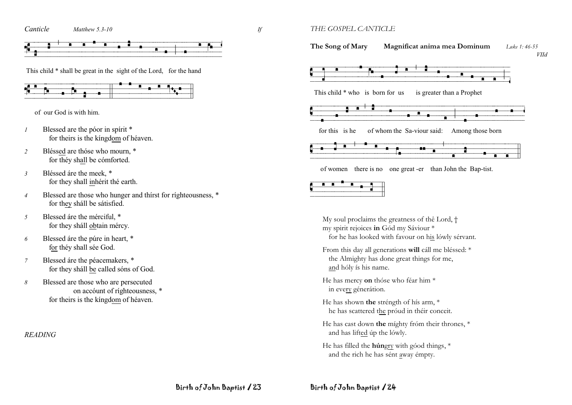Canticle Matthew  $5.3-10$   $H$ 



This child \* shall be great in the sight of the Lord. for the hand



of our God is with him.

- Blessed are the póor in spírit \*  $\boldsymbol{l}$ for theirs is the kingdom of héaven.
- Bléssed are thóse who mourn, \*  $\overline{2}$ for théy shall be cómforted.
- Bléssed áre the meek. \*  $\overline{\mathbf{3}}$ for they shall inhérit thé earth.
- Blessed are those who hunger and thirst for righteousness, \*  $\overline{4}$ for they sháll be sátisfied.
- Blessed are the merciful. \* 5 for they shall obtain mércy.
- Blessed áre the púre in heart, \* 6 for théy shall sée God.
- Blessed áre the péacemakers, \*  $\overline{7}$ for they shall be called sons of God.
- Blessed are those who are persecuted 8 on account of righteousness. \* for theirs is the kingdom of héaven.

**READING** 

THE GOSPEL CANTICLE

The Song of Mary Magnificat anima mea Dominum  $I$  uke 1:46-55 **VIId** 



of women there is no one great -er than John the Bap-tist.



My soul proclaims the greatness of the Lord, † my spirit rejoices in Gód my Sáviour \* for he has looked with favour on his lówly sérvant.

- From this day all generations will cáll me bléssed: \* the Almighty has done great things for me, and hóly ís his name.
- He has mercy on thóse who féar him \* in every génerátion.
- He has shown the stréngth of hís arm, \* he has scattered the próud in théir conceit.
- He has cast down the mighty from their thrones, \* and has lifted up the lowly.
- He has filled the húngry with góod things, \* and the rich he has sént away émpty.